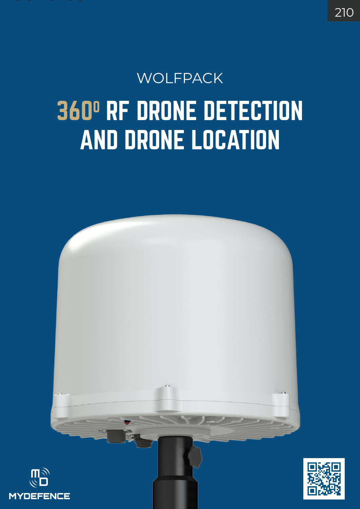## WOLFPACK 360° RF DRONE DETECTION AND DRONE LOCATION